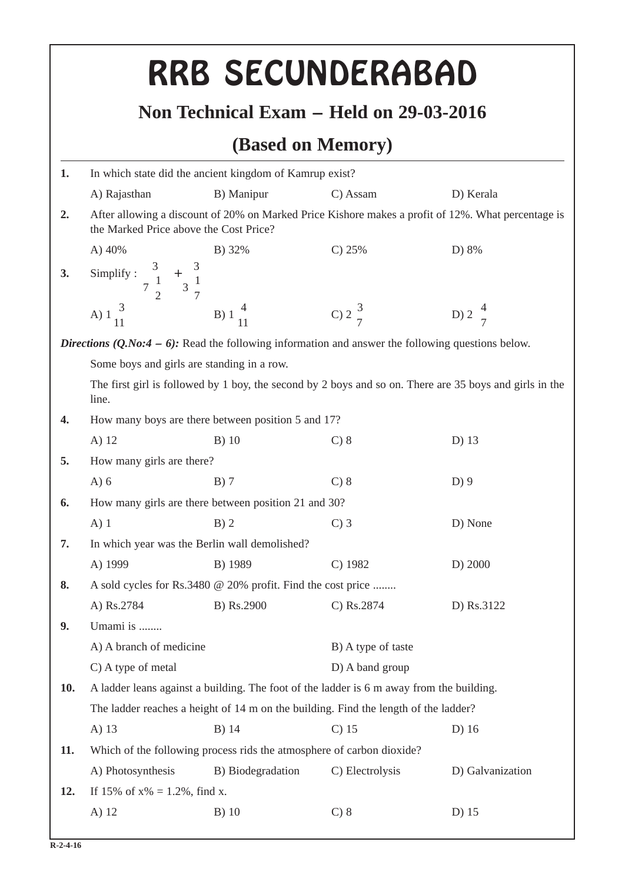|                                                              |                                                                                                                  | RRB SECUNDERABAD                                                                                     |                    |                                                                                                    |  |  |
|--------------------------------------------------------------|------------------------------------------------------------------------------------------------------------------|------------------------------------------------------------------------------------------------------|--------------------|----------------------------------------------------------------------------------------------------|--|--|
|                                                              |                                                                                                                  |                                                                                                      |                    |                                                                                                    |  |  |
| Non Technical Exam – Held on 29-03-2016<br>(Based on Memory) |                                                                                                                  |                                                                                                      |                    |                                                                                                    |  |  |
| 1.                                                           | In which state did the ancient kingdom of Kamrup exist?                                                          |                                                                                                      |                    |                                                                                                    |  |  |
|                                                              | A) Rajasthan                                                                                                     | B) Manipur                                                                                           | C) Assam           | D) Kerala                                                                                          |  |  |
| 2.                                                           | the Marked Price above the Cost Price?                                                                           |                                                                                                      |                    | After allowing a discount of 20% on Marked Price Kishore makes a profit of 12%. What percentage is |  |  |
|                                                              | A) 40%                                                                                                           | B) 32%                                                                                               | $C$ ) 25%          | D) 8%                                                                                              |  |  |
| 3.                                                           | Simplify : $\frac{3}{7\frac{1}{2}} + \frac{3}{3\frac{1}{7}}$                                                     |                                                                                                      |                    |                                                                                                    |  |  |
|                                                              | A) $1\frac{3}{11}$ B) $1\frac{4}{11}$                                                                            |                                                                                                      | C) $2\frac{3}{7}$  | D) $2\frac{4}{7}$                                                                                  |  |  |
|                                                              |                                                                                                                  | Directions $(Q.No:4 - 6)$ : Read the following information and answer the following questions below. |                    |                                                                                                    |  |  |
|                                                              | Some boys and girls are standing in a row.                                                                       |                                                                                                      |                    |                                                                                                    |  |  |
|                                                              | The first girl is followed by 1 boy, the second by 2 boys and so on. There are 35 boys and girls in the<br>line. |                                                                                                      |                    |                                                                                                    |  |  |
| 4.                                                           |                                                                                                                  | How many boys are there between position 5 and 17?                                                   |                    |                                                                                                    |  |  |
|                                                              | A) 12                                                                                                            | $B)$ 10                                                                                              | $C$ ) 8            | D) 13                                                                                              |  |  |
| 5.                                                           | How many girls are there?                                                                                        |                                                                                                      |                    |                                                                                                    |  |  |
|                                                              | $A)$ 6                                                                                                           | $B)$ 7                                                                                               | $C$ ) 8            | $D$ ) 9                                                                                            |  |  |
| 6.                                                           |                                                                                                                  | How many girls are there between position 21 and 30?                                                 |                    |                                                                                                    |  |  |
|                                                              | $A)$ 1                                                                                                           | $B)$ 2                                                                                               | $C$ ) 3            | D) None                                                                                            |  |  |
| 7.                                                           |                                                                                                                  | In which year was the Berlin wall demolished?                                                        |                    |                                                                                                    |  |  |
|                                                              | A) 1999                                                                                                          | B) 1989                                                                                              | $C)$ 1982          | D) 2000                                                                                            |  |  |
| 8.                                                           |                                                                                                                  | A sold cycles for Rs.3480 @ 20% profit. Find the cost price                                          |                    |                                                                                                    |  |  |
|                                                              | A) Rs.2784                                                                                                       | B) Rs.2900                                                                                           | C) Rs.2874         | D) Rs.3122                                                                                         |  |  |
| 9.                                                           | Umami is                                                                                                         |                                                                                                      |                    |                                                                                                    |  |  |
|                                                              | A) A branch of medicine                                                                                          |                                                                                                      | B) A type of taste |                                                                                                    |  |  |
|                                                              | C) A type of metal                                                                                               |                                                                                                      | D) A band group    |                                                                                                    |  |  |
| <b>10.</b>                                                   |                                                                                                                  | A ladder leans against a building. The foot of the ladder is 6 m away from the building.             |                    |                                                                                                    |  |  |
|                                                              |                                                                                                                  | The ladder reaches a height of 14 m on the building. Find the length of the ladder?                  |                    |                                                                                                    |  |  |
|                                                              | A) 13                                                                                                            | B) 14                                                                                                | $C$ ) 15           | $D)$ 16                                                                                            |  |  |
| 11.                                                          |                                                                                                                  | Which of the following process rids the atmosphere of carbon dioxide?                                |                    |                                                                                                    |  |  |
|                                                              | A) Photosynthesis                                                                                                | B) Biodegradation                                                                                    | C) Electrolysis    | D) Galvanization                                                                                   |  |  |
| 12.                                                          | If 15% of $x\% = 1.2\%$ , find x.                                                                                |                                                                                                      |                    |                                                                                                    |  |  |
|                                                              | A) 12                                                                                                            | $B)$ 10                                                                                              | $C$ ) $8$          | D) 15                                                                                              |  |  |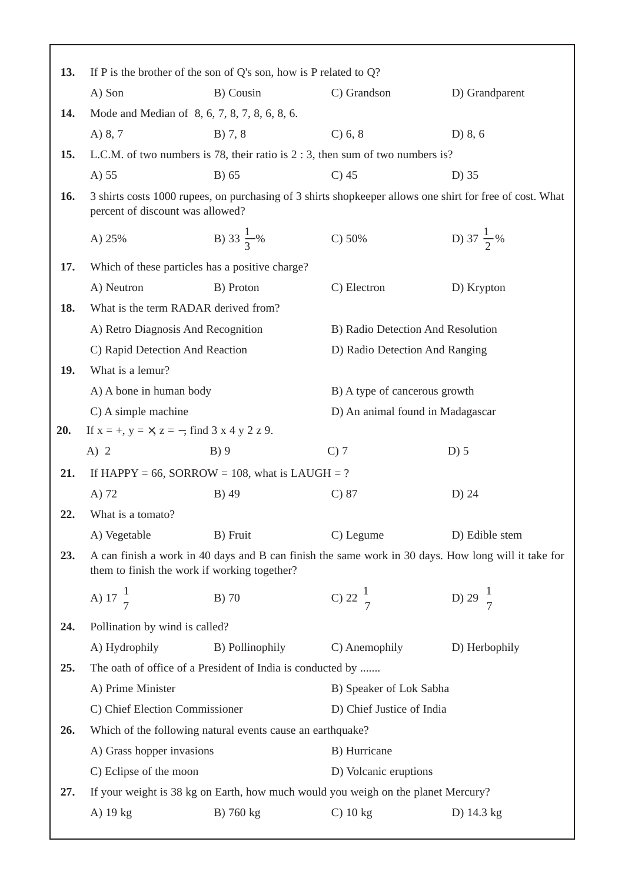| 13. | If P is the brother of the son of Q's son, how is P related to $Q$ ?                                                                         |                                                                                   |                                                |                                                                                                     |  |  |
|-----|----------------------------------------------------------------------------------------------------------------------------------------------|-----------------------------------------------------------------------------------|------------------------------------------------|-----------------------------------------------------------------------------------------------------|--|--|
|     | A) Son                                                                                                                                       | B) Cousin                                                                         | C) Grandson                                    | D) Grandparent                                                                                      |  |  |
| 14. |                                                                                                                                              | Mode and Median of 8, 6, 7, 8, 7, 8, 6, 8, 6.                                     |                                                |                                                                                                     |  |  |
|     | A) 8, 7                                                                                                                                      | B) 7, 8                                                                           | $C$ ) 6, 8                                     | D $\left(8, 6\right)$                                                                               |  |  |
| 15. | L.C.M. of two numbers is 78, their ratio is $2:3$ , then sum of two numbers is?                                                              |                                                                                   |                                                |                                                                                                     |  |  |
|     | A) 55                                                                                                                                        | B) 65                                                                             | $C$ ) 45                                       | D) 35                                                                                               |  |  |
| 16. | 3 shirts costs 1000 rupees, on purchasing of 3 shirts shopkeeper allows one shirt for free of cost. What<br>percent of discount was allowed? |                                                                                   |                                                |                                                                                                     |  |  |
|     | A) 25%                                                                                                                                       | B) 33 $\frac{1}{3}$ %                                                             | C) 50%                                         | D) 37 $\frac{1}{2}$ %                                                                               |  |  |
| 17. |                                                                                                                                              | Which of these particles has a positive charge?                                   |                                                |                                                                                                     |  |  |
|     | A) Neutron                                                                                                                                   | B) Proton                                                                         | C) Electron                                    | D) Krypton                                                                                          |  |  |
| 18. | What is the term RADAR derived from?                                                                                                         |                                                                                   |                                                |                                                                                                     |  |  |
|     | A) Retro Diagnosis And Recognition                                                                                                           |                                                                                   |                                                | B) Radio Detection And Resolution                                                                   |  |  |
|     | C) Rapid Detection And Reaction                                                                                                              |                                                                                   |                                                | D) Radio Detection And Ranging                                                                      |  |  |
| 19. | What is a lemur?                                                                                                                             |                                                                                   |                                                |                                                                                                     |  |  |
|     | A) A bone in human body                                                                                                                      |                                                                                   | B) A type of cancerous growth                  |                                                                                                     |  |  |
|     | C) A simple machine                                                                                                                          |                                                                                   |                                                | D) An animal found in Madagascar                                                                    |  |  |
|     | 20.<br>If $x = +$ , $y = \times$ , $z = -$ , find 3 x 4 y 2 z 9.                                                                             |                                                                                   |                                                |                                                                                                     |  |  |
|     | A) $2$                                                                                                                                       | B)9                                                                               | $C$ ) $7$                                      | $D)$ 5                                                                                              |  |  |
|     |                                                                                                                                              |                                                                                   | If HAPPY = 66, SORROW = 108, what is LAUGH = ? |                                                                                                     |  |  |
| 21. |                                                                                                                                              |                                                                                   |                                                |                                                                                                     |  |  |
|     | A) 72                                                                                                                                        | B) 49                                                                             | $C$ ) 87                                       | D) 24                                                                                               |  |  |
| 22. | What is a tomato?                                                                                                                            |                                                                                   |                                                |                                                                                                     |  |  |
|     | A) Vegetable                                                                                                                                 | B) Fruit                                                                          | C) Legume                                      | D) Edible stem                                                                                      |  |  |
| 23. |                                                                                                                                              | them to finish the work if working together?                                      |                                                | A can finish a work in 40 days and B can finish the same work in 30 days. How long will it take for |  |  |
|     | A) $17\frac{1}{7}$                                                                                                                           | B) 70                                                                             | C) 22 $\frac{1}{7}$                            | D) 29 $\frac{1}{7}$                                                                                 |  |  |
| 24. | Pollination by wind is called?                                                                                                               |                                                                                   |                                                |                                                                                                     |  |  |
|     | A) Hydrophily                                                                                                                                | B) Pollinophily                                                                   | C) Anemophily                                  | D) Herbophily                                                                                       |  |  |
| 25. |                                                                                                                                              | The oath of office of a President of India is conducted by                        |                                                |                                                                                                     |  |  |
|     | A) Prime Minister                                                                                                                            |                                                                                   | B) Speaker of Lok Sabha                        |                                                                                                     |  |  |
|     | C) Chief Election Commissioner                                                                                                               |                                                                                   | D) Chief Justice of India                      |                                                                                                     |  |  |
| 26. |                                                                                                                                              | Which of the following natural events cause an earthquake?                        |                                                |                                                                                                     |  |  |
|     | A) Grass hopper invasions                                                                                                                    |                                                                                   | B) Hurricane                                   |                                                                                                     |  |  |
|     | C) Eclipse of the moon                                                                                                                       |                                                                                   | D) Volcanic eruptions                          |                                                                                                     |  |  |
| 27. |                                                                                                                                              | If your weight is 38 kg on Earth, how much would you weigh on the planet Mercury? |                                                |                                                                                                     |  |  |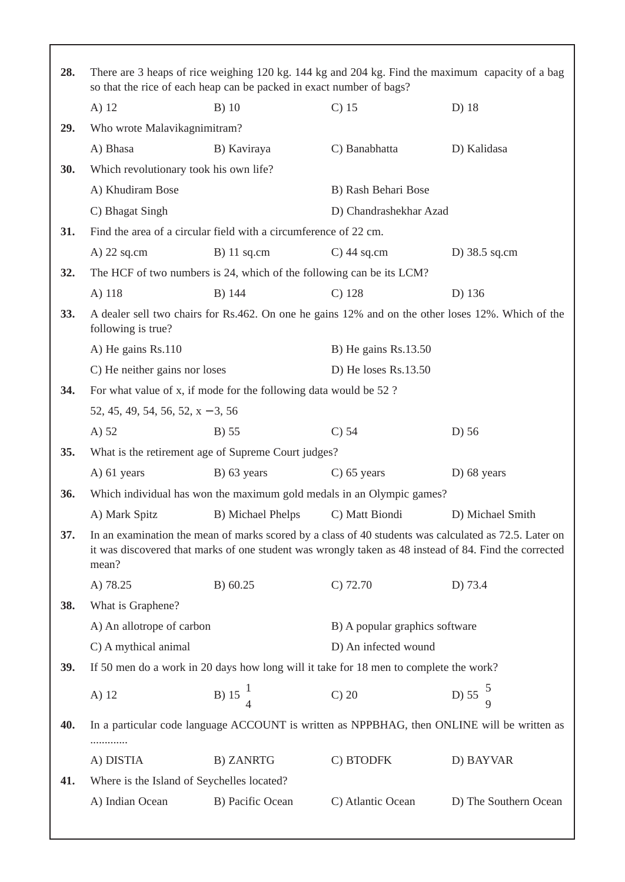| 28.                      | There are 3 heaps of rice weighing 120 kg. 144 kg and 204 kg. Find the maximum capacity of a bag<br>so that the rice of each heap can be packed in exact number of bags?                                                |                                                                  |                                                                                       |                                                                                             |  |
|--------------------------|-------------------------------------------------------------------------------------------------------------------------------------------------------------------------------------------------------------------------|------------------------------------------------------------------|---------------------------------------------------------------------------------------|---------------------------------------------------------------------------------------------|--|
|                          | A) 12                                                                                                                                                                                                                   | $B)$ 10                                                          | $C$ ) 15                                                                              | D) 18                                                                                       |  |
| 29.                      | Who wrote Malavikagnimitram?                                                                                                                                                                                            |                                                                  |                                                                                       |                                                                                             |  |
|                          | A) Bhasa                                                                                                                                                                                                                | B) Kaviraya                                                      | C) Banabhatta                                                                         | D) Kalidasa                                                                                 |  |
| 30.                      | Which revolutionary took his own life?                                                                                                                                                                                  |                                                                  |                                                                                       |                                                                                             |  |
|                          | A) Khudiram Bose                                                                                                                                                                                                        |                                                                  | B) Rash Behari Bose                                                                   |                                                                                             |  |
|                          | C) Bhagat Singh                                                                                                                                                                                                         |                                                                  | D) Chandrashekhar Azad                                                                |                                                                                             |  |
| 31.                      |                                                                                                                                                                                                                         | Find the area of a circular field with a circumference of 22 cm. |                                                                                       |                                                                                             |  |
|                          | $A)$ 22 sq.cm                                                                                                                                                                                                           | $B)$ 11 sq.cm                                                    | $C)$ 44 sq.cm                                                                         | D) $38.5$ sq.cm                                                                             |  |
| 32.                      | The HCF of two numbers is 24, which of the following can be its LCM?                                                                                                                                                    |                                                                  |                                                                                       |                                                                                             |  |
|                          | A) 118                                                                                                                                                                                                                  | B) 144                                                           | $C)$ 128                                                                              | D) 136                                                                                      |  |
| 33.                      | A dealer sell two chairs for Rs.462. On one he gains 12% and on the other loses 12%. Which of the<br>following is true?                                                                                                 |                                                                  |                                                                                       |                                                                                             |  |
|                          | A) He gains Rs.110                                                                                                                                                                                                      |                                                                  | B) He gains $Rs.13.50$                                                                |                                                                                             |  |
|                          | C) He neither gains nor loses                                                                                                                                                                                           |                                                                  | D) He loses Rs.13.50                                                                  |                                                                                             |  |
| 34.                      | For what value of x, if mode for the following data would be 52 ?                                                                                                                                                       |                                                                  |                                                                                       |                                                                                             |  |
|                          | 52, 45, 49, 54, 56, 52, $x - 3$ , 56                                                                                                                                                                                    |                                                                  |                                                                                       |                                                                                             |  |
|                          | A) 52                                                                                                                                                                                                                   | $B)$ 55                                                          | $C$ ) 54                                                                              | D) 56                                                                                       |  |
| 35.                      | What is the retirement age of Supreme Court judges?                                                                                                                                                                     |                                                                  |                                                                                       |                                                                                             |  |
|                          | $A)$ 61 years                                                                                                                                                                                                           | $B)$ 63 years                                                    | $C$ ) 65 years                                                                        | $D)$ 68 years                                                                               |  |
| 36.                      |                                                                                                                                                                                                                         |                                                                  | Which individual has won the maximum gold medals in an Olympic games?                 |                                                                                             |  |
|                          | A) Mark Spitz                                                                                                                                                                                                           | B) Michael Phelps                                                | C) Matt Biondi                                                                        | D) Michael Smith                                                                            |  |
| 37.                      | In an examination the mean of marks scored by a class of 40 students was calculated as 72.5. Later on<br>it was discovered that marks of one student was wrongly taken as 48 instead of 84. Find the corrected<br>mean? |                                                                  |                                                                                       |                                                                                             |  |
|                          | A) 78.25                                                                                                                                                                                                                | B) 60.25                                                         | $C$ ) 72.70                                                                           | D) 73.4                                                                                     |  |
| 38.<br>What is Graphene? |                                                                                                                                                                                                                         |                                                                  |                                                                                       |                                                                                             |  |
|                          | A) An allotrope of carbon                                                                                                                                                                                               |                                                                  | B) A popular graphics software                                                        |                                                                                             |  |
|                          | C) A mythical animal                                                                                                                                                                                                    |                                                                  | D) An infected wound                                                                  |                                                                                             |  |
| 39.                      |                                                                                                                                                                                                                         |                                                                  | If 50 men do a work in 20 days how long will it take for 18 men to complete the work? |                                                                                             |  |
|                          | A) 12                                                                                                                                                                                                                   | B) $15\frac{1}{4}$                                               | $C$ ) 20                                                                              | D) $55\frac{5}{9}$                                                                          |  |
| 40.                      |                                                                                                                                                                                                                         |                                                                  |                                                                                       | In a particular code language ACCOUNT is written as NPPBHAG, then ONLINE will be written as |  |
|                          | A) DISTIA                                                                                                                                                                                                               | <b>B) ZANRTG</b>                                                 | C) BTODFK                                                                             | D) BAYVAR                                                                                   |  |
| 41.                      | Where is the Island of Seychelles located?                                                                                                                                                                              |                                                                  |                                                                                       |                                                                                             |  |
|                          | A) Indian Ocean                                                                                                                                                                                                         | B) Pacific Ocean                                                 | C) Atlantic Ocean                                                                     | D) The Southern Ocean                                                                       |  |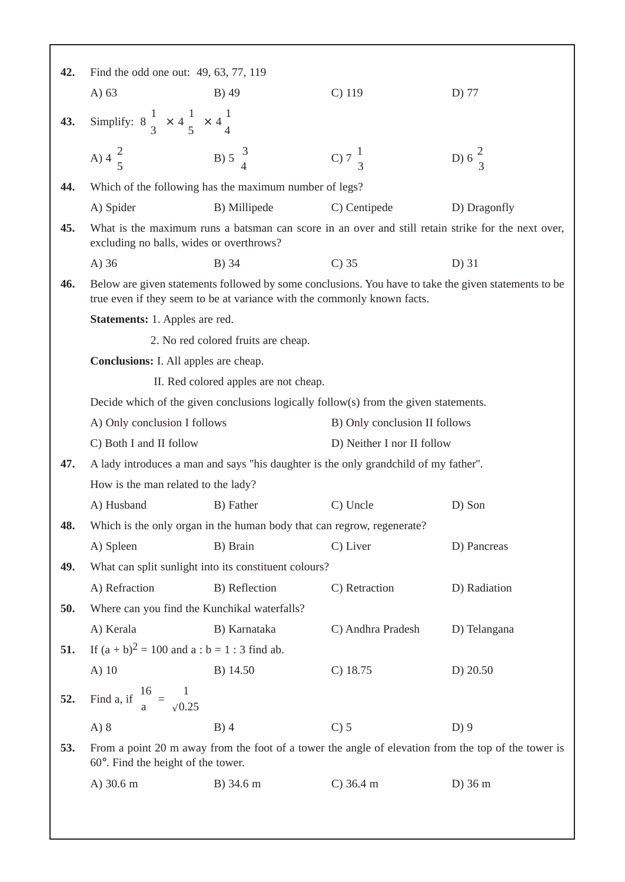| 42. | Find the odd one out: 49, 63, 77, 119                                                                                                                                           |                                                                        |                   |                   |  |
|-----|---------------------------------------------------------------------------------------------------------------------------------------------------------------------------------|------------------------------------------------------------------------|-------------------|-------------------|--|
|     | A $)$ 63                                                                                                                                                                        | B) 49                                                                  | $C)$ 119          | D) 77             |  |
| 43. | Simplify: $8\frac{1}{3} \times 4\frac{1}{5} \times 4\frac{1}{4}$                                                                                                                |                                                                        |                   |                   |  |
|     | A) $4\frac{2}{5}$                                                                                                                                                               | B) 5 $\frac{3}{4}$                                                     | C) $7\frac{1}{3}$ | D) $6\frac{2}{3}$ |  |
| 44. |                                                                                                                                                                                 | Which of the following has the maximum number of legs?                 |                   |                   |  |
|     | A) Spider                                                                                                                                                                       | B) Millipede                                                           | C) Centipede      | D) Dragonfly      |  |
| 45. | What is the maximum runs a batsman can score in an over and still retain strike for the next over,<br>excluding no balls, wides or overthrows?                                  |                                                                        |                   |                   |  |
|     | $A)$ 36                                                                                                                                                                         | B) 34                                                                  | $C$ ) 35          | $D)$ 31           |  |
| 46. | Below are given statements followed by some conclusions. You have to take the given statements to be<br>true even if they seem to be at variance with the commonly known facts. |                                                                        |                   |                   |  |
|     | <b>Statements:</b> 1. Apples are red.                                                                                                                                           |                                                                        |                   |                   |  |
|     |                                                                                                                                                                                 | 2. No red colored fruits are cheap.                                    |                   |                   |  |
|     | <b>Conclusions:</b> I. All apples are cheap.                                                                                                                                    |                                                                        |                   |                   |  |
|     | II. Red colored apples are not cheap.                                                                                                                                           |                                                                        |                   |                   |  |
|     | Decide which of the given conclusions logically follow(s) from the given statements.                                                                                            |                                                                        |                   |                   |  |
|     | A) Only conclusion I follows<br>B) Only conclusion II follows                                                                                                                   |                                                                        |                   |                   |  |
|     | C) Both I and II follow<br>D) Neither I nor II follow                                                                                                                           |                                                                        |                   |                   |  |
| 47. | A lady introduces a man and says "his daughter is the only grandchild of my father".                                                                                            |                                                                        |                   |                   |  |
|     | How is the man related to the lady?                                                                                                                                             |                                                                        |                   |                   |  |
|     | A) Husband                                                                                                                                                                      | B) Father                                                              | C) Uncle          | D) Son            |  |
| 48. |                                                                                                                                                                                 | Which is the only organ in the human body that can regrow, regenerate? |                   |                   |  |
|     | A) Spleen                                                                                                                                                                       | B) Brain                                                               | C) Liver          | D) Pancreas       |  |
| 49. |                                                                                                                                                                                 | What can split sunlight into its constituent colours?                  |                   |                   |  |
|     | A) Refraction                                                                                                                                                                   | B) Reflection                                                          | C) Retraction     | D) Radiation      |  |
| 50. | Where can you find the Kunchikal waterfalls?                                                                                                                                    |                                                                        |                   |                   |  |
|     | A) Kerala                                                                                                                                                                       | B) Karnataka                                                           | C) Andhra Pradesh | D) Telangana      |  |
| 51. | If $(a + b)^2 = 100$ and $a : b = 1 : 3$ find ab.                                                                                                                               |                                                                        |                   |                   |  |
|     | $A)$ 10                                                                                                                                                                         | B) 14.50                                                               | $C)$ 18.75        | D) 20.50          |  |
| 52. | Find a, if $\frac{16}{a} = \frac{1}{\sqrt{0.25}}$                                                                                                                               |                                                                        |                   |                   |  |
|     | $A)$ 8                                                                                                                                                                          | $B)$ 4                                                                 | $C$ ) 5           | $D$ ) 9           |  |
| 53. | From a point 20 m away from the foot of a tower the angle of elevation from the top of the tower is<br>$60^\circ$ . Find the height of the tower.                               |                                                                        |                   |                   |  |
|     | A) 30.6 m                                                                                                                                                                       | B) 34.6 m                                                              | $C)$ 36.4 m       | $D$ ) 36 m        |  |
|     |                                                                                                                                                                                 |                                                                        |                   |                   |  |